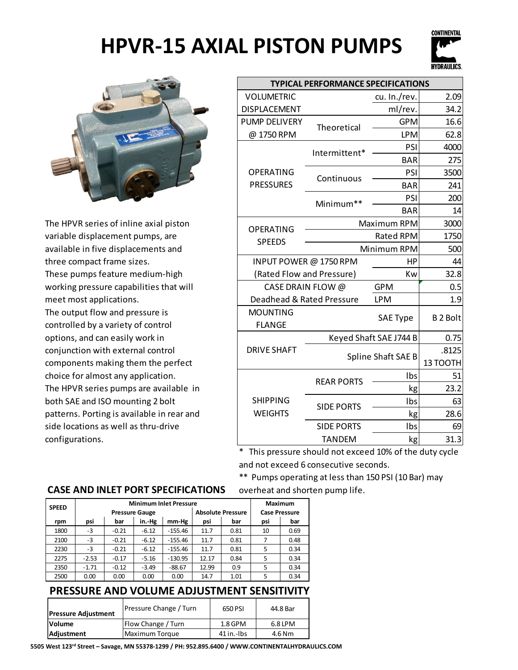



The HPVR series of inline axial piston variable displacement pumps, are available in five displacements and three compact frame sizes. These pumps feature medium-high working pressure capabilities that will meet most applications. The output flow and pressure is controlled by a variety of control options, and can easily work in conjunction with external control components making them the perfect choice for almost any application. The HPVR series pumps are available in both SAE and ISO mounting 2 bolt patterns. Porting is available in rear and side locations as well as thru-drive configurations.

**CASE AND INLET PORT SPECIFICATIONS**

| <b>VOLUMETRIC</b><br>cu. In./rev.<br>2.09<br><b>DISPLACEMENT</b><br>ml/rev.<br>34.2<br><b>PUMP DELIVERY</b><br><b>GPM</b><br>16.6<br>Theoretical<br>@1750RPM<br><b>LPM</b><br>62.8<br>PSI<br>4000<br>Intermittent*<br><b>BAR</b><br>275<br>OPERATING<br>PSI<br>3500<br>Continuous<br><b>PRESSURES</b><br><b>BAR</b><br>241<br>PSI<br>200<br>Minimum**<br><b>BAR</b><br>14<br>3000<br>Maximum RPM<br><b>OPERATING</b><br>Rated RPM<br>1750<br><b>SPEEDS</b><br>Minimum RPM<br>500<br>INPUT POWER @ 1750 RPM<br>HP<br>44<br>(Rated Flow and Pressure)<br>32.8<br>Kw<br>CASE DRAIN FLOW @<br>0.5<br><b>GPM</b><br>Deadhead & Rated Pressure<br><b>LPM</b><br>1.9<br><b>MOUNTING</b><br><b>B2 Bolt</b><br><b>SAE Type</b><br><b>FLANGE</b><br>Keyed Shaft SAE J744 B<br>0.75<br><b>DRIVE SHAFT</b><br>.8125<br>Spline Shaft SAE B<br>13 TOOTH<br>Ibs<br>51<br><b>REAR PORTS</b><br>23.2<br>kg<br><b>SHIPPING</b><br>Ibs<br>63<br><b>SIDE PORTS</b><br><b>WEIGHTS</b><br>28.6<br>kg<br><b>SIDE PORTS</b><br>Ibs<br>69<br>31.3<br><b>TANDEM</b><br>kg | <b>TYPICAL PERFORMANCE SPECIFICATIONS</b> |  |  |  |  |  |  |
|-------------------------------------------------------------------------------------------------------------------------------------------------------------------------------------------------------------------------------------------------------------------------------------------------------------------------------------------------------------------------------------------------------------------------------------------------------------------------------------------------------------------------------------------------------------------------------------------------------------------------------------------------------------------------------------------------------------------------------------------------------------------------------------------------------------------------------------------------------------------------------------------------------------------------------------------------------------------------------------------------------------------------------------------------|-------------------------------------------|--|--|--|--|--|--|
|                                                                                                                                                                                                                                                                                                                                                                                                                                                                                                                                                                                                                                                                                                                                                                                                                                                                                                                                                                                                                                                 |                                           |  |  |  |  |  |  |
|                                                                                                                                                                                                                                                                                                                                                                                                                                                                                                                                                                                                                                                                                                                                                                                                                                                                                                                                                                                                                                                 |                                           |  |  |  |  |  |  |
|                                                                                                                                                                                                                                                                                                                                                                                                                                                                                                                                                                                                                                                                                                                                                                                                                                                                                                                                                                                                                                                 |                                           |  |  |  |  |  |  |
|                                                                                                                                                                                                                                                                                                                                                                                                                                                                                                                                                                                                                                                                                                                                                                                                                                                                                                                                                                                                                                                 |                                           |  |  |  |  |  |  |
|                                                                                                                                                                                                                                                                                                                                                                                                                                                                                                                                                                                                                                                                                                                                                                                                                                                                                                                                                                                                                                                 |                                           |  |  |  |  |  |  |
|                                                                                                                                                                                                                                                                                                                                                                                                                                                                                                                                                                                                                                                                                                                                                                                                                                                                                                                                                                                                                                                 |                                           |  |  |  |  |  |  |
|                                                                                                                                                                                                                                                                                                                                                                                                                                                                                                                                                                                                                                                                                                                                                                                                                                                                                                                                                                                                                                                 |                                           |  |  |  |  |  |  |
|                                                                                                                                                                                                                                                                                                                                                                                                                                                                                                                                                                                                                                                                                                                                                                                                                                                                                                                                                                                                                                                 |                                           |  |  |  |  |  |  |
|                                                                                                                                                                                                                                                                                                                                                                                                                                                                                                                                                                                                                                                                                                                                                                                                                                                                                                                                                                                                                                                 |                                           |  |  |  |  |  |  |
|                                                                                                                                                                                                                                                                                                                                                                                                                                                                                                                                                                                                                                                                                                                                                                                                                                                                                                                                                                                                                                                 |                                           |  |  |  |  |  |  |
|                                                                                                                                                                                                                                                                                                                                                                                                                                                                                                                                                                                                                                                                                                                                                                                                                                                                                                                                                                                                                                                 |                                           |  |  |  |  |  |  |
|                                                                                                                                                                                                                                                                                                                                                                                                                                                                                                                                                                                                                                                                                                                                                                                                                                                                                                                                                                                                                                                 |                                           |  |  |  |  |  |  |
|                                                                                                                                                                                                                                                                                                                                                                                                                                                                                                                                                                                                                                                                                                                                                                                                                                                                                                                                                                                                                                                 |                                           |  |  |  |  |  |  |
|                                                                                                                                                                                                                                                                                                                                                                                                                                                                                                                                                                                                                                                                                                                                                                                                                                                                                                                                                                                                                                                 |                                           |  |  |  |  |  |  |
|                                                                                                                                                                                                                                                                                                                                                                                                                                                                                                                                                                                                                                                                                                                                                                                                                                                                                                                                                                                                                                                 |                                           |  |  |  |  |  |  |
|                                                                                                                                                                                                                                                                                                                                                                                                                                                                                                                                                                                                                                                                                                                                                                                                                                                                                                                                                                                                                                                 |                                           |  |  |  |  |  |  |
|                                                                                                                                                                                                                                                                                                                                                                                                                                                                                                                                                                                                                                                                                                                                                                                                                                                                                                                                                                                                                                                 |                                           |  |  |  |  |  |  |
|                                                                                                                                                                                                                                                                                                                                                                                                                                                                                                                                                                                                                                                                                                                                                                                                                                                                                                                                                                                                                                                 |                                           |  |  |  |  |  |  |
|                                                                                                                                                                                                                                                                                                                                                                                                                                                                                                                                                                                                                                                                                                                                                                                                                                                                                                                                                                                                                                                 |                                           |  |  |  |  |  |  |
|                                                                                                                                                                                                                                                                                                                                                                                                                                                                                                                                                                                                                                                                                                                                                                                                                                                                                                                                                                                                                                                 |                                           |  |  |  |  |  |  |
|                                                                                                                                                                                                                                                                                                                                                                                                                                                                                                                                                                                                                                                                                                                                                                                                                                                                                                                                                                                                                                                 |                                           |  |  |  |  |  |  |
|                                                                                                                                                                                                                                                                                                                                                                                                                                                                                                                                                                                                                                                                                                                                                                                                                                                                                                                                                                                                                                                 |                                           |  |  |  |  |  |  |
|                                                                                                                                                                                                                                                                                                                                                                                                                                                                                                                                                                                                                                                                                                                                                                                                                                                                                                                                                                                                                                                 |                                           |  |  |  |  |  |  |
|                                                                                                                                                                                                                                                                                                                                                                                                                                                                                                                                                                                                                                                                                                                                                                                                                                                                                                                                                                                                                                                 |                                           |  |  |  |  |  |  |
|                                                                                                                                                                                                                                                                                                                                                                                                                                                                                                                                                                                                                                                                                                                                                                                                                                                                                                                                                                                                                                                 |                                           |  |  |  |  |  |  |
|                                                                                                                                                                                                                                                                                                                                                                                                                                                                                                                                                                                                                                                                                                                                                                                                                                                                                                                                                                                                                                                 |                                           |  |  |  |  |  |  |
|                                                                                                                                                                                                                                                                                                                                                                                                                                                                                                                                                                                                                                                                                                                                                                                                                                                                                                                                                                                                                                                 |                                           |  |  |  |  |  |  |
|                                                                                                                                                                                                                                                                                                                                                                                                                                                                                                                                                                                                                                                                                                                                                                                                                                                                                                                                                                                                                                                 |                                           |  |  |  |  |  |  |

This pressure should not exceed 10% of the duty cycle and not exceed 6 consecutive seconds.

\*\* Pumps operating at less than 150 PSI (10 Bar) may overheat and shorten pump life.

#### **rpm psi bar in.-Hg mm-Hg psi bar psi bar** 1800 -3 -0.21 -6.12 -155.46 11.7 0.81 10 0.69 2100 -3 -0.21 -6.12 -155.46 11.7 0.81 7 0.48 2230 -3 -0.21 -6.12 -155.46 11.7 0.81 5 0.34 2275 | -2.53 | -0.17 | -5.16 | -130.95 | 12.17 | 0.84 | 5 | 0.34 2350 -1.71 -0.12 -3.49 -88.67 12.99 0.9 5 0.34 2500 0.00 0.00 0.00 0.00 14.7 1.01 5 0.34 **SPEED Minimum Inlet Pressure Maximum Absolute Pressure Case Pressure Case Pressure Case Pressure**

## **PRESSURE AND VOLUME ADJUSTMENT SENSITIVITY**

| <b>Pressure Adjustment</b> | Pressure Change / Turn | 650 PSI    | 44.8 Bar |  |
|----------------------------|------------------------|------------|----------|--|
| <b>Volume</b>              | Flow Change / Turn     | $1.8$ GPM  | 6.8 LPM  |  |
| <b>Adiustment</b>          | Maximum Torque         | 41 in.-lbs | 4.6 Nm   |  |

**5505 West 123rd Street – Savage, MN 55378-1299 / PH: 952.895.6400 / WWW.CONTINENTALHYDRAULICS.COM**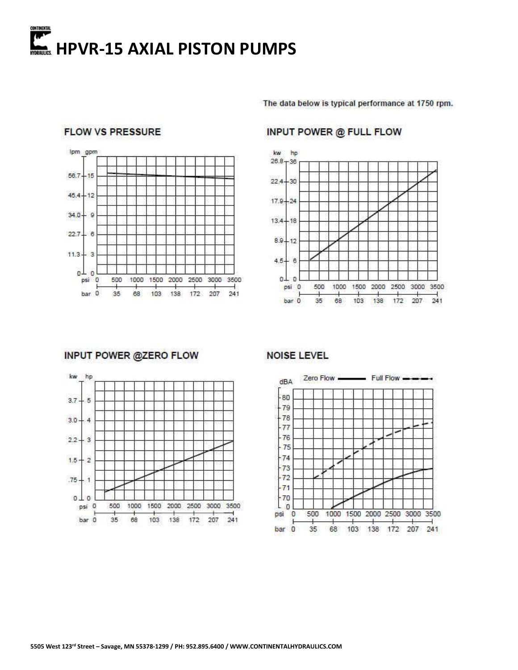## CONTINENTAL **HPVR-15 AXIAL PISTON PUMPS**

The data below is typical performance at 1750 rpm.

#### lpm gpm  $56.7 + 15$  $45.4 - 12$  $34.0 + 9$  $22.7 - 6$  $11.3 - 3$  $0<sub>0</sub>$ psi<sup>0</sup> 1000 1500 2000 2500 3000 3500 500 bar 0 35  $68$  $172$ 207  $241$ 103 138

**FLOW VS PRESSURE** 

## **INPUT POWER @ FULL FLOW**



### **INPUT POWER @ZERO FLOW**



### **NOISE LEVEL**

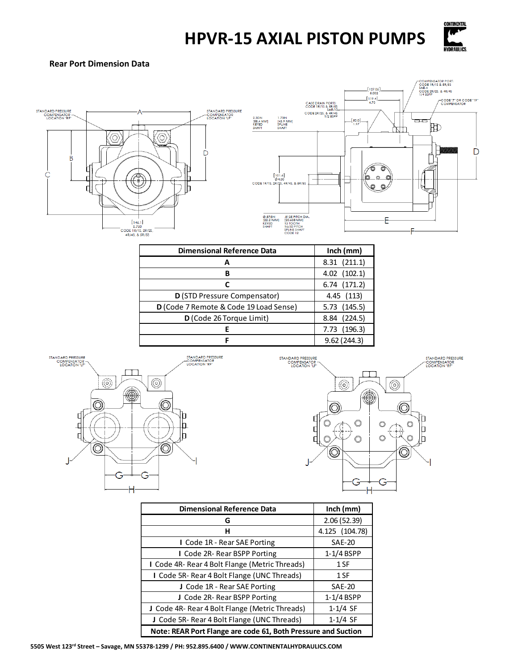

#### **Rear Port Dimension Data**





| <b>Dimensional Reference Data</b>      | Inch (mm)    |  |
|----------------------------------------|--------------|--|
| А                                      | 8.31 (211.1) |  |
| в                                      | 4.02 (102.1) |  |
|                                        | 6.74 (171.2) |  |
| D (STD Pressure Compensator)           | 4.45 (113)   |  |
| D (Code 7 Remote & Code 19 Load Sense) | 5.73 (145.5) |  |
| D (Code 26 Torque Limit)               | 8.84 (224.5) |  |
| F                                      | 7.73 (196.3) |  |
| Е                                      | 9.62(244.3)  |  |





| <b>Dimensional Reference Data</b>                             | Inch (mm)      |  |  |
|---------------------------------------------------------------|----------------|--|--|
| G                                                             | 2.06(52.39)    |  |  |
| н                                                             | 4.125 (104.78) |  |  |
| I Code 1R - Rear SAE Porting                                  | <b>SAE-20</b>  |  |  |
| I Code 2R-Rear BSPP Porting                                   | 1-1/4 BSPP     |  |  |
| I Code 4R- Rear 4 Bolt Flange (Metric Threads)                | $1$ SF         |  |  |
| I Code 5R- Rear 4 Bolt Flange (UNC Threads)                   | 1 SF           |  |  |
| J Code 1R - Rear SAE Porting                                  | <b>SAE-20</b>  |  |  |
| J Code 2R- Rear BSPP Porting                                  | 1-1/4 BSPP     |  |  |
| J Code 4R- Rear 4 Bolt Flange (Metric Threads)                | $1 - 1/4$ SF   |  |  |
| J Code 5R- Rear 4 Bolt Flange (UNC Threads)                   | $1 - 1/4$ SF   |  |  |
| Note: REAR Port Flange are code 61, Both Pressure and Suction |                |  |  |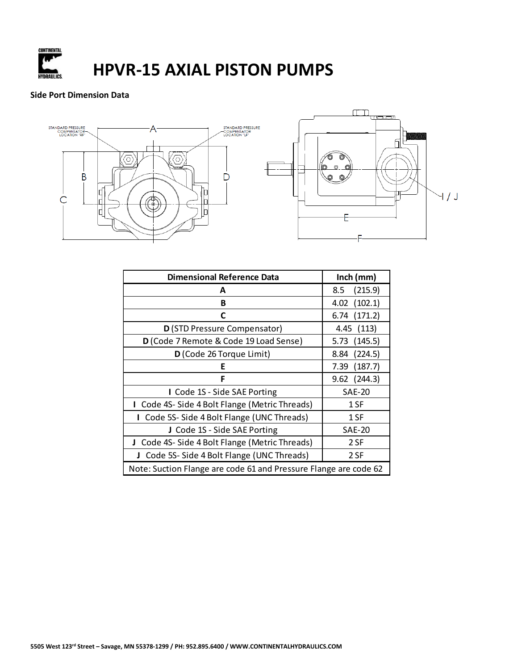

#### **Side Port Dimension Data**



| <b>Dimensional Reference Data</b>                                | $lnch$ (mm)     |  |  |
|------------------------------------------------------------------|-----------------|--|--|
| А                                                                | (215.9)<br>8.5  |  |  |
| в                                                                | 4.02 (102.1)    |  |  |
| C                                                                | 6.74 (171.2)    |  |  |
| D (STD Pressure Compensator)                                     | 4.45 (113)      |  |  |
| D (Code 7 Remote & Code 19 Load Sense)                           | 5.73 (145.5)    |  |  |
| D (Code 26 Torque Limit)                                         | (224.5)<br>8.84 |  |  |
| E                                                                | (187.7)<br>7.39 |  |  |
| F                                                                | $9.62$ (244.3)  |  |  |
| I Code 1S - Side SAE Porting                                     | <b>SAE-20</b>   |  |  |
| I Code 4S-Side 4 Bolt Flange (Metric Threads)                    | 1 SF            |  |  |
| <b>I</b> Code 5S-Side 4 Bolt Flange (UNC Threads)                | 1 SF            |  |  |
| J Code 1S - Side SAE Porting                                     | <b>SAE-20</b>   |  |  |
| J Code 4S-Side 4 Bolt Flange (Metric Threads)                    | 2 SF            |  |  |
| J Code 5S-Side 4 Bolt Flange (UNC Threads)                       | 2 SF            |  |  |
| Note: Suction Flange are code 61 and Pressure Flange are code 62 |                 |  |  |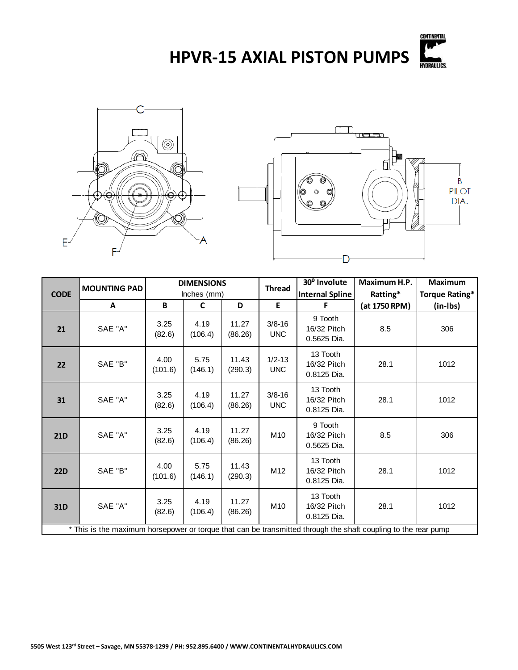





| <b>CODE</b>                                                                                                    | <b>MOUNTING PAD</b> | <b>DIMENSIONS</b><br>Inches (mm) |                 | <b>Thread</b>    | 30° Involute<br><b>Internal Spline</b> | Maximum H.P.<br>Ratting*               | <b>Maximum</b><br><b>Torque Rating*</b> |          |
|----------------------------------------------------------------------------------------------------------------|---------------------|----------------------------------|-----------------|------------------|----------------------------------------|----------------------------------------|-----------------------------------------|----------|
|                                                                                                                | A                   | B                                | C               | D                | E                                      | F                                      | (at 1750 RPM)                           | (in-Ibs) |
| 21                                                                                                             | SAE "A"             | 3.25<br>(82.6)                   | 4.19<br>(106.4) | 11.27<br>(86.26) | $3/8 - 16$<br><b>UNC</b>               | 9 Tooth<br>16/32 Pitch<br>0.5625 Dia.  | 8.5                                     | 306      |
| 22                                                                                                             | SAE "B"             | 4.00<br>(101.6)                  | 5.75<br>(146.1) | 11.43<br>(290.3) | $1/2 - 13$<br><b>UNC</b>               | 13 Tooth<br>16/32 Pitch<br>0.8125 Dia. | 28.1                                    | 1012     |
| 31                                                                                                             | SAE "A"             | 3.25<br>(82.6)                   | 4.19<br>(106.4) | 11.27<br>(86.26) | $3/8 - 16$<br><b>UNC</b>               | 13 Tooth<br>16/32 Pitch<br>0.8125 Dia. | 28.1                                    | 1012     |
| <b>21D</b>                                                                                                     | SAE "A"             | 3.25<br>(82.6)                   | 4.19<br>(106.4) | 11.27<br>(86.26) | M10                                    | 9 Tooth<br>16/32 Pitch<br>0.5625 Dia.  | 8.5                                     | 306      |
| <b>22D</b>                                                                                                     | SAE "B"             | 4.00<br>(101.6)                  | 5.75<br>(146.1) | 11.43<br>(290.3) | M12                                    | 13 Tooth<br>16/32 Pitch<br>0.8125 Dia. | 28.1                                    | 1012     |
| 31D                                                                                                            | SAE "A"             | 3.25<br>(82.6)                   | 4.19<br>(106.4) | 11.27<br>(86.26) | M10                                    | 13 Tooth<br>16/32 Pitch<br>0.8125 Dia. | 28.1                                    | 1012     |
| * This is the maximum horsepower or torque that can be transmitted through the shaft coupling to the rear pump |                     |                                  |                 |                  |                                        |                                        |                                         |          |